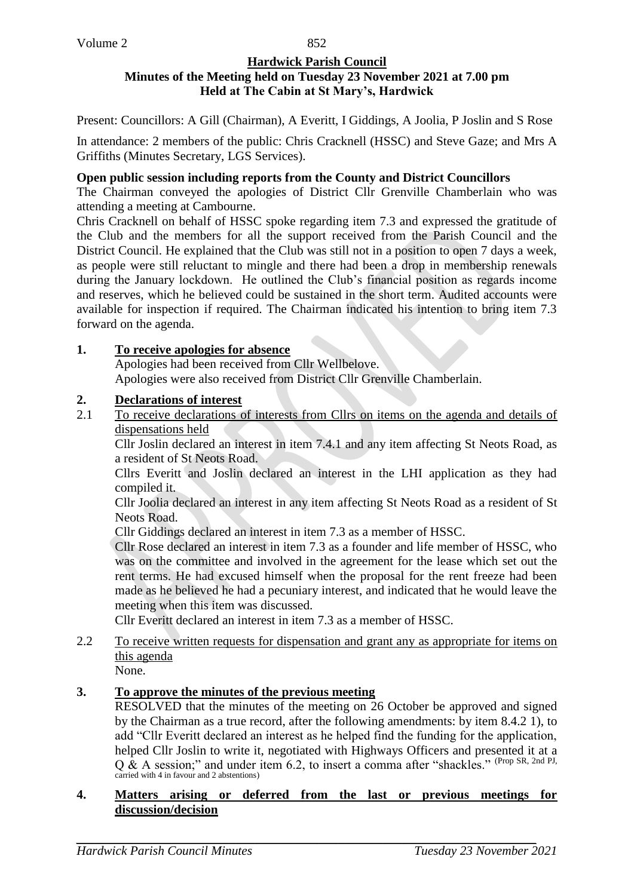#### **Hardwick Parish Council Minutes of the Meeting held on Tuesday 23 November 2021 at 7.00 pm Held at The Cabin at St Mary's, Hardwick**

Present: Councillors: A Gill (Chairman), A Everitt, I Giddings, A Joolia, P Joslin and S Rose

In attendance: 2 members of the public: Chris Cracknell (HSSC) and Steve Gaze; and Mrs A Griffiths (Minutes Secretary, LGS Services).

#### **Open public session including reports from the County and District Councillors**

The Chairman conveyed the apologies of District Cllr Grenville Chamberlain who was attending a meeting at Cambourne.

Chris Cracknell on behalf of HSSC spoke regarding item 7.3 and expressed the gratitude of the Club and the members for all the support received from the Parish Council and the District Council. He explained that the Club was still not in a position to open 7 days a week, as people were still reluctant to mingle and there had been a drop in membership renewals during the January lockdown. He outlined the Club's financial position as regards income and reserves, which he believed could be sustained in the short term. Audited accounts were available for inspection if required. The Chairman indicated his intention to bring item 7.3 forward on the agenda.

### **1. To receive apologies for absence**

Apologies had been received from Cllr Wellbelove. Apologies were also received from District Cllr Grenville Chamberlain.

### **2. Declarations of interest**

2.1 To receive declarations of interests from Cllrs on items on the agenda and details of dispensations held

Cllr Joslin declared an interest in item 7.4.1 and any item affecting St Neots Road, as a resident of St Neots Road.

Cllrs Everitt and Joslin declared an interest in the LHI application as they had compiled it.

Cllr Joolia declared an interest in any item affecting St Neots Road as a resident of St Neots Road.

Cllr Giddings declared an interest in item 7.3 as a member of HSSC.

Cllr Rose declared an interest in item 7.3 as a founder and life member of HSSC, who was on the committee and involved in the agreement for the lease which set out the rent terms. He had excused himself when the proposal for the rent freeze had been made as he believed he had a pecuniary interest, and indicated that he would leave the meeting when this item was discussed.

Cllr Everitt declared an interest in item 7.3 as a member of HSSC.

2.2 To receive written requests for dispensation and grant any as appropriate for items on this agenda

None.

# **3. To approve the minutes of the previous meeting**

RESOLVED that the minutes of the meeting on 26 October be approved and signed by the Chairman as a true record, after the following amendments: by item 8.4.2 1), to add "Cllr Everitt declared an interest as he helped find the funding for the application, helped Cllr Joslin to write it, negotiated with Highways Officers and presented it at a  $Q$  & A session;" and under item 6.2, to insert a comma after "shackles." (Prop SR, 2nd PJ, carried with 4 in favour and 2 abstentions)

#### **4. Matters arising or deferred from the last or previous meetings for discussion/decision**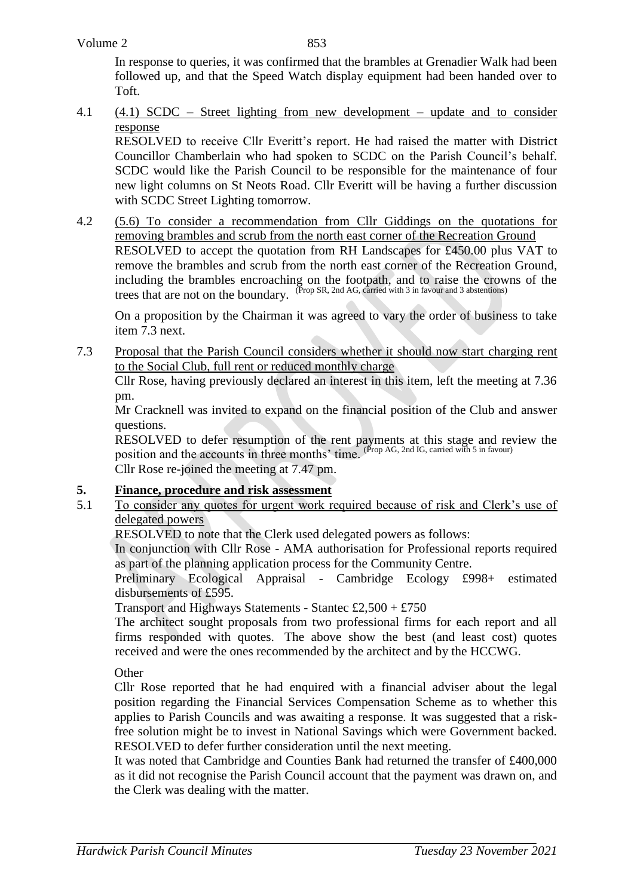853

In response to queries, it was confirmed that the brambles at Grenadier Walk had been followed up, and that the Speed Watch display equipment had been handed over to Toft.

4.1 (4.1) SCDC – Street lighting from new development – update and to consider response

RESOLVED to receive Cllr Everitt's report. He had raised the matter with District Councillor Chamberlain who had spoken to SCDC on the Parish Council's behalf. SCDC would like the Parish Council to be responsible for the maintenance of four new light columns on St Neots Road. Cllr Everitt will be having a further discussion with SCDC Street Lighting tomorrow.

4.2 (5.6) To consider a recommendation from Cllr Giddings on the quotations for removing brambles and scrub from the north east corner of the Recreation Ground RESOLVED to accept the quotation from RH Landscapes for £450.00 plus VAT to remove the brambles and scrub from the north east corner of the Recreation Ground, including the brambles encroaching on the footpath, and to raise the crowns of the trees that are not on the boundary. (Prop SR, 2nd AG, carried with 3 in favour and 3 abstentions)

On a proposition by the Chairman it was agreed to vary the order of business to take item 7.3 next.

7.3 Proposal that the Parish Council considers whether it should now start charging rent to the Social Club, full rent or reduced monthly charge

Cllr Rose, having previously declared an interest in this item, left the meeting at 7.36 pm.

Mr Cracknell was invited to expand on the financial position of the Club and answer questions.

RESOLVED to defer resumption of the rent payments at this stage and review the position and the accounts in three months' time. (Prop AG, 2nd IG, carried with 5 in favour) Cllr Rose re-joined the meeting at 7.47 pm.

## **5. Finance, procedure and risk assessment**

5.1 To consider any quotes for urgent work required because of risk and Clerk's use of delegated powers

RESOLVED to note that the Clerk used delegated powers as follows:

In conjunction with Cllr Rose - AMA authorisation for Professional reports required as part of the planning application process for the Community Centre.

Preliminary Ecological Appraisal - Cambridge Ecology £998+ estimated disbursements of £595.

Transport and Highways Statements - Stantec £2,500 + £750

The architect sought proposals from two professional firms for each report and all firms responded with quotes. The above show the best (and least cost) quotes received and were the ones recommended by the architect and by the HCCWG.

**Other** 

Cllr Rose reported that he had enquired with a financial adviser about the legal position regarding the Financial Services Compensation Scheme as to whether this applies to Parish Councils and was awaiting a response. It was suggested that a riskfree solution might be to invest in National Savings which were Government backed. RESOLVED to defer further consideration until the next meeting.

It was noted that Cambridge and Counties Bank had returned the transfer of £400,000 as it did not recognise the Parish Council account that the payment was drawn on, and the Clerk was dealing with the matter.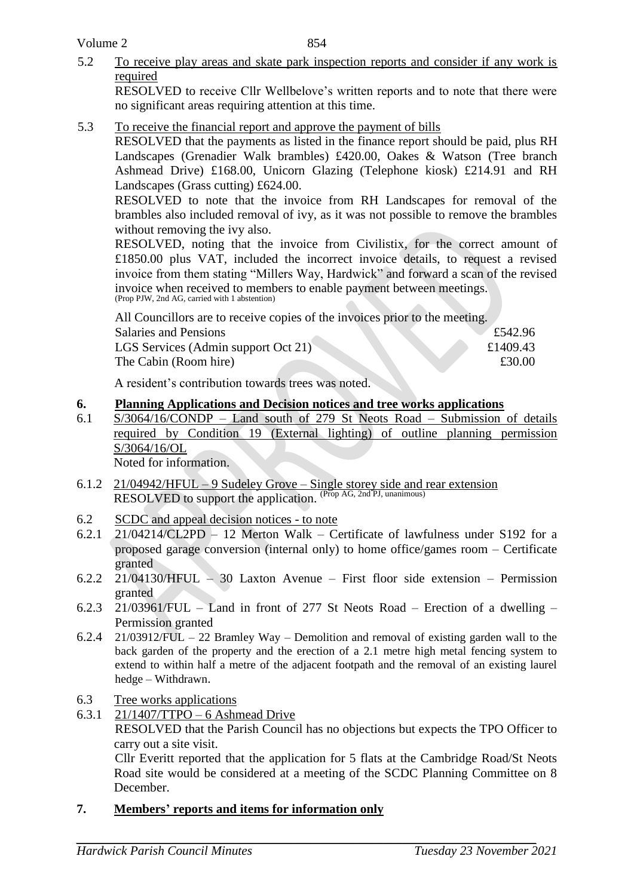5.2 To receive play areas and skate park inspection reports and consider if any work is required

RESOLVED to receive Cllr Wellbelove's written reports and to note that there were no significant areas requiring attention at this time.

5.3 To receive the financial report and approve the payment of bills

RESOLVED that the payments as listed in the finance report should be paid, plus RH Landscapes (Grenadier Walk brambles) £420.00, Oakes & Watson (Tree branch Ashmead Drive) £168.00, Unicorn Glazing (Telephone kiosk) £214.91 and RH Landscapes (Grass cutting) £624.00.

RESOLVED to note that the invoice from RH Landscapes for removal of the brambles also included removal of ivy, as it was not possible to remove the brambles without removing the ivy also.

RESOLVED, noting that the invoice from Civilistix, for the correct amount of £1850.00 plus VAT, included the incorrect invoice details, to request a revised invoice from them stating "Millers Way, Hardwick" and forward a scan of the revised invoice when received to members to enable payment between meetings. (Prop PJW, 2nd AG, carried with 1 abstention)

All Councillors are to receive copies of the invoices prior to the meeting.

| <b>Salaries and Pensions</b>        | £542.96  |
|-------------------------------------|----------|
| LGS Services (Admin support Oct 21) | £1409.43 |
| The Cabin (Room hire)               | £30.00   |
|                                     |          |

A resident's contribution towards trees was noted.

### **6. Planning Applications and Decision notices and tree works applications**

6.1 S/3064/16/CONDP – Land south of 279 St Neots Road – Submission of details required by Condition 19 (External lighting) of outline planning permission S/3064/16/OL

Noted for information.

- 6.1.2  $21/04942/HFUL 9$  Sudeley Grove Single storey side and rear extension RESOLVED to support the application. (Prop AG, 2nd PJ, unanimous)
- 6.2 SCDC and appeal decision notices to note
- 6.2.1 21/04214/CL2PD 12 Merton Walk Certificate of lawfulness under S192 for a proposed garage conversion (internal only) to home office/games room – Certificate granted
- 6.2.2 21/04130/HFUL 30 Laxton Avenue First floor side extension Permission granted
- 6.2.3 21/03961/FUL Land in front of 277 St Neots Road Erection of a dwelling Permission granted
- 6.2.4 21/03912/FUL 22 Bramley Way Demolition and removal of existing garden wall to the back garden of the property and the erection of a 2.1 metre high metal fencing system to extend to within half a metre of the adjacent footpath and the removal of an existing laurel hedge – Withdrawn.
- 6.3 Tree works applications
- 6.3.1 21/1407/TTPO 6 Ashmead Drive RESOLVED that the Parish Council has no objections but expects the TPO Officer to carry out a site visit.

Cllr Everitt reported that the application for 5 flats at the Cambridge Road/St Neots Road site would be considered at a meeting of the SCDC Planning Committee on 8 December.

## **7. Members' reports and items for information only**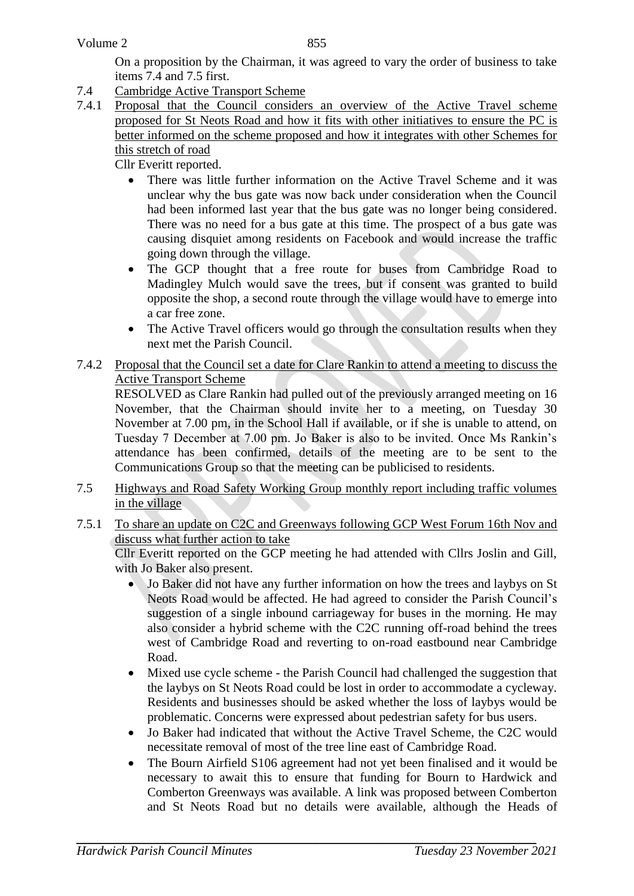On a proposition by the Chairman, it was agreed to vary the order of business to take items 7.4 and 7.5 first.

- 7.4 Cambridge Active Transport Scheme
- 7.4.1 Proposal that the Council considers an overview of the Active Travel scheme proposed for St Neots Road and how it fits with other initiatives to ensure the PC is better informed on the scheme proposed and how it integrates with other Schemes for this stretch of road

Cllr Everitt reported.

- There was little further information on the Active Travel Scheme and it was unclear why the bus gate was now back under consideration when the Council had been informed last year that the bus gate was no longer being considered. There was no need for a bus gate at this time. The prospect of a bus gate was causing disquiet among residents on Facebook and would increase the traffic going down through the village.
- The GCP thought that a free route for buses from Cambridge Road to Madingley Mulch would save the trees, but if consent was granted to build opposite the shop, a second route through the village would have to emerge into a car free zone.
- The Active Travel officers would go through the consultation results when they next met the Parish Council.

## 7.4.2 Proposal that the Council set a date for Clare Rankin to attend a meeting to discuss the Active Transport Scheme

RESOLVED as Clare Rankin had pulled out of the previously arranged meeting on 16 November, that the Chairman should invite her to a meeting, on Tuesday 30 November at 7.00 pm, in the School Hall if available, or if she is unable to attend, on Tuesday 7 December at 7.00 pm. Jo Baker is also to be invited. Once Ms Rankin's attendance has been confirmed, details of the meeting are to be sent to the Communications Group so that the meeting can be publicised to residents.

- 7.5 Highways and Road Safety Working Group monthly report including traffic volumes in the village
- 7.5.1 To share an update on C2C and Greenways following GCP West Forum 16th Nov and discuss what further action to take

Cllr Everitt reported on the GCP meeting he had attended with Cllrs Joslin and Gill, with Jo Baker also present.

- Jo Baker did not have any further information on how the trees and laybys on St Neots Road would be affected. He had agreed to consider the Parish Council's suggestion of a single inbound carriageway for buses in the morning. He may also consider a hybrid scheme with the C2C running off-road behind the trees west of Cambridge Road and reverting to on-road eastbound near Cambridge Road.
- Mixed use cycle scheme the Parish Council had challenged the suggestion that the laybys on St Neots Road could be lost in order to accommodate a cycleway. Residents and businesses should be asked whether the loss of laybys would be problematic. Concerns were expressed about pedestrian safety for bus users.
- Jo Baker had indicated that without the Active Travel Scheme, the C2C would necessitate removal of most of the tree line east of Cambridge Road.
- The Bourn Airfield S106 agreement had not yet been finalised and it would be necessary to await this to ensure that funding for Bourn to Hardwick and Comberton Greenways was available. A link was proposed between Comberton and St Neots Road but no details were available, although the Heads of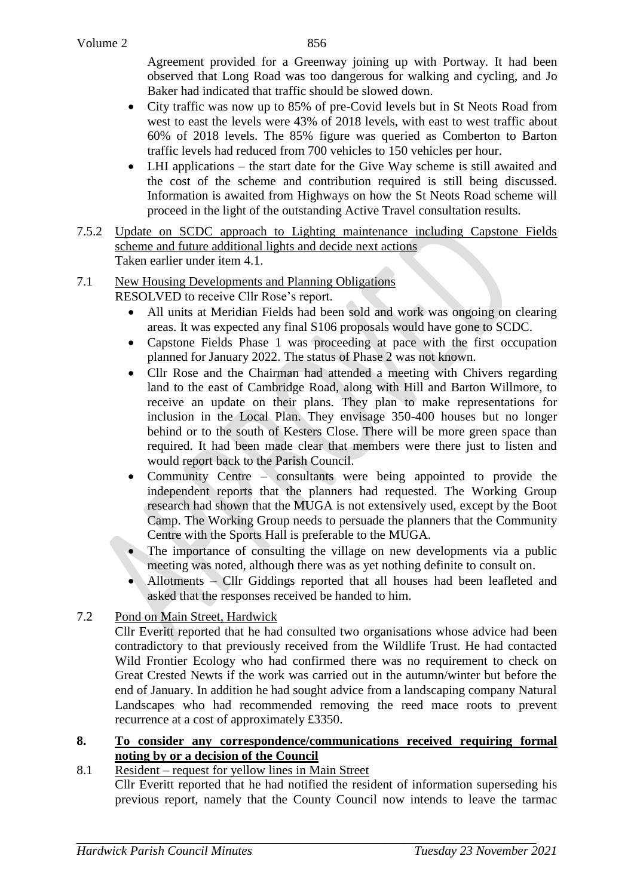Agreement provided for a Greenway joining up with Portway. It had been observed that Long Road was too dangerous for walking and cycling, and Jo Baker had indicated that traffic should be slowed down.

- City traffic was now up to 85% of pre-Covid levels but in St Neots Road from west to east the levels were 43% of 2018 levels, with east to west traffic about 60% of 2018 levels. The 85% figure was queried as Comberton to Barton traffic levels had reduced from 700 vehicles to 150 vehicles per hour.
- LHI applications the start date for the Give Way scheme is still awaited and the cost of the scheme and contribution required is still being discussed. Information is awaited from Highways on how the St Neots Road scheme will proceed in the light of the outstanding Active Travel consultation results.
- 7.5.2 Update on SCDC approach to Lighting maintenance including Capstone Fields scheme and future additional lights and decide next actions Taken earlier under item 4.1.
- 7.1 New Housing Developments and Planning Obligations
	- RESOLVED to receive Cllr Rose's report.
		- All units at Meridian Fields had been sold and work was ongoing on clearing areas. It was expected any final S106 proposals would have gone to SCDC.
		- Capstone Fields Phase 1 was proceeding at pace with the first occupation planned for January 2022. The status of Phase 2 was not known.
		- Cllr Rose and the Chairman had attended a meeting with Chivers regarding land to the east of Cambridge Road, along with Hill and Barton Willmore, to receive an update on their plans. They plan to make representations for inclusion in the Local Plan. They envisage 350-400 houses but no longer behind or to the south of Kesters Close. There will be more green space than required. It had been made clear that members were there just to listen and would report back to the Parish Council.
		- Community Centre consultants were being appointed to provide the independent reports that the planners had requested. The Working Group research had shown that the MUGA is not extensively used, except by the Boot Camp. The Working Group needs to persuade the planners that the Community Centre with the Sports Hall is preferable to the MUGA.
		- The importance of consulting the village on new developments via a public meeting was noted, although there was as yet nothing definite to consult on.
		- Allotments Cllr Giddings reported that all houses had been leafleted and asked that the responses received be handed to him.

## 7.2 Pond on Main Street, Hardwick

Cllr Everitt reported that he had consulted two organisations whose advice had been contradictory to that previously received from the Wildlife Trust. He had contacted Wild Frontier Ecology who had confirmed there was no requirement to check on Great Crested Newts if the work was carried out in the autumn/winter but before the end of January. In addition he had sought advice from a landscaping company Natural Landscapes who had recommended removing the reed mace roots to prevent recurrence at a cost of approximately £3350.

#### **8. To consider any correspondence/communications received requiring formal noting by or a decision of the Council**

## 8.1 Resident – request for yellow lines in Main Street

Cllr Everitt reported that he had notified the resident of information superseding his previous report, namely that the County Council now intends to leave the tarmac